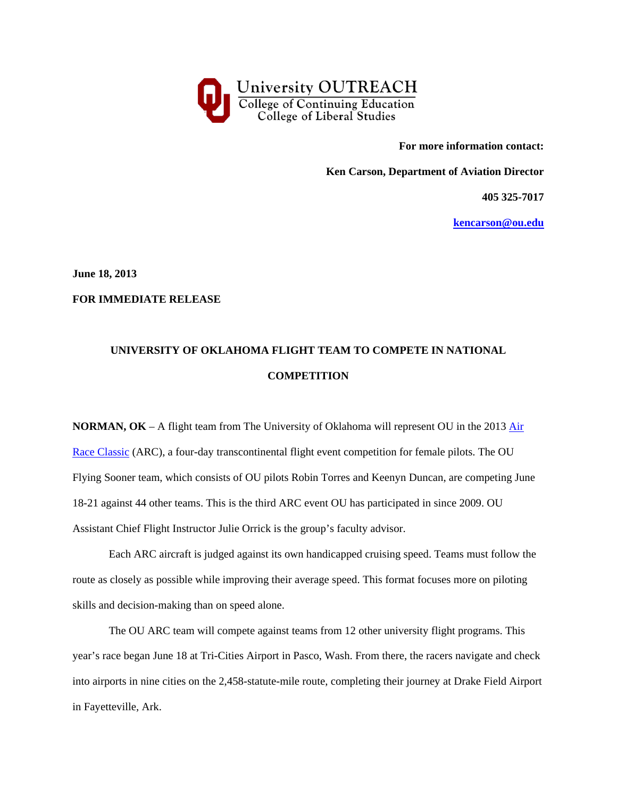

**For more information contact:** 

**Ken Carson, Department of Aviation Director** 

**405 325-7017** 

**kencarson@ou.edu**

**June 18, 2013** 

**FOR IMMEDIATE RELEASE** 

## **UNIVERSITY OF OKLAHOMA FLIGHT TEAM TO COMPETE IN NATIONAL COMPETITION**

**NORMAN, OK** – A flight team from The University of Oklahoma will represent OU in the 2013 Air Race Classic (ARC), a four-day transcontinental flight event competition for female pilots. The OU Flying Sooner team, which consists of OU pilots Robin Torres and Keenyn Duncan, are competing June 18-21 against 44 other teams. This is the third ARC event OU has participated in since 2009. OU Assistant Chief Flight Instructor Julie Orrick is the group's faculty advisor.

Each ARC aircraft is judged against its own handicapped cruising speed. Teams must follow the route as closely as possible while improving their average speed. This format focuses more on piloting skills and decision-making than on speed alone.

The OU ARC team will compete against teams from 12 other university flight programs. This year's race began June 18 at Tri-Cities Airport in Pasco, Wash. From there, the racers navigate and check into airports in nine cities on the 2,458-statute-mile route, completing their journey at Drake Field Airport in Fayetteville, Ark.